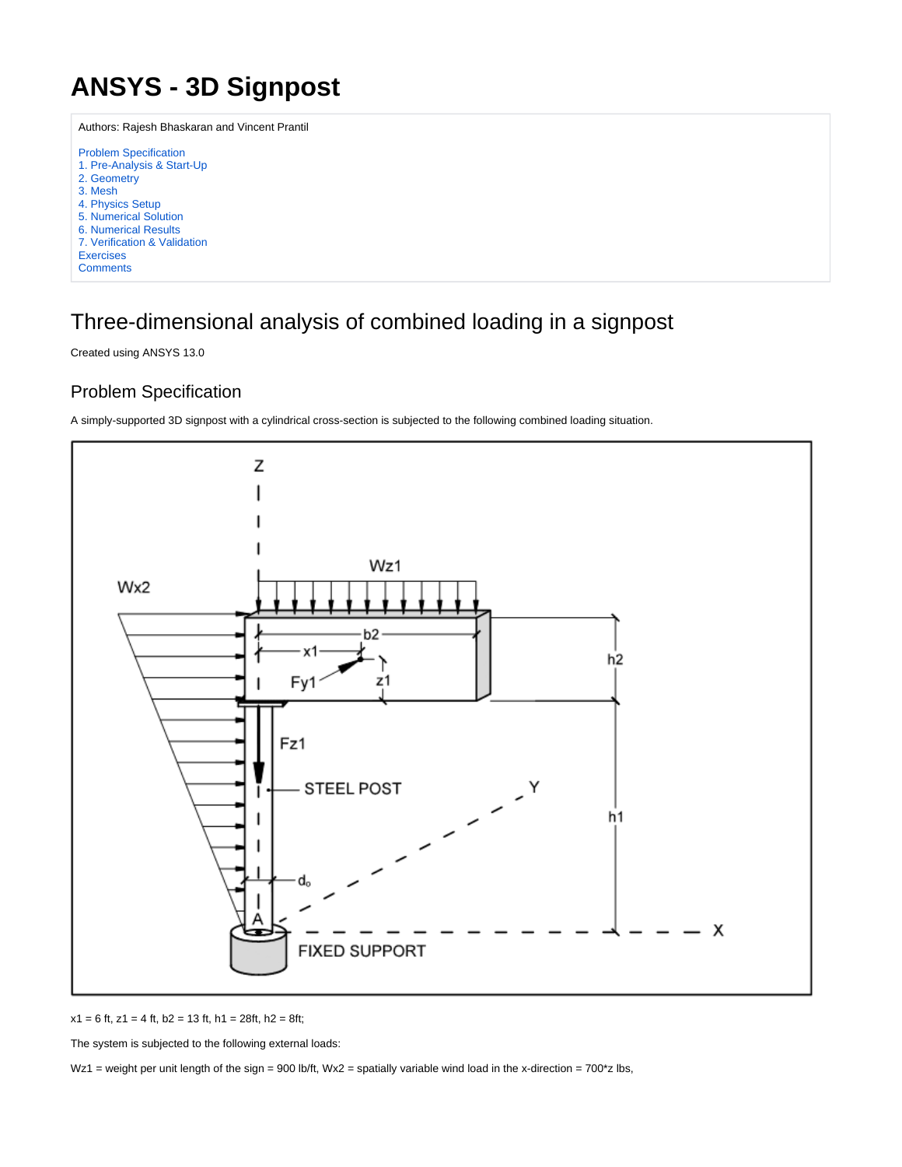# <span id="page-0-0"></span>**ANSYS - 3D Signpost**

Authors: Rajesh Bhaskaran and Vincent Prantil [Problem Specification](#page-0-0) [1. Pre-Analysis & Start-Up](https://confluence.cornell.edu/pages/viewpage.action?pageId=220302414) [2. Geometry](https://confluence.cornell.edu/display/SIMULATION/3D+Signpost+-+Geometry) [3. Mesh](https://confluence.cornell.edu/display/SIMULATION/3D+Signpost+-+Mesh) [4. Physics Setup](https://confluence.cornell.edu/display/SIMULATION/3D+Signpost+-+Physics+Setup) [5. Numerical Solution](https://confluence.cornell.edu/display/SIMULATION/3D+Signpost+-+Numerical+Solution) [6. Numerical Results](https://confluence.cornell.edu/display/SIMULATION/3D+Signpost+-+Numerical+Results) [7. Verification & Validation](https://confluence.cornell.edu/pages/viewpage.action?pageId=223707937) **Exercises [Comments](https://confluence.cornell.edu/display/SIMULATION/3D+Signpost+-+Comments)** 

## Three-dimensional analysis of combined loading in a signpost

Created using ANSYS 13.0

### Problem Specification

A simply-supported 3D signpost with a cylindrical cross-section is subjected to the following combined loading situation.



 $x1 = 6$  ft,  $z1 = 4$  ft,  $b2 = 13$  ft,  $h1 = 28$ ft,  $h2 = 8$ ft;

The system is subjected to the following external loads:

Wz1 = weight per unit length of the sign = 900 lb/ft, Wx2 = spatially variable wind load in the x-direction =  $700$ \*z lbs,